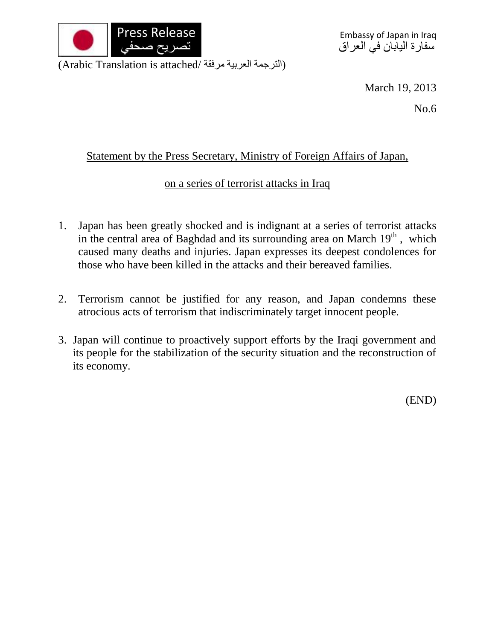

(Arabic Translation is attached/ الترجمة العربية مرفقة)

March 19, 2013

No.6

## Statement by the Press Secretary, Ministry of Foreign Affairs of Japan,

## on a series of terrorist attacks in Iraq

- 1. Japan has been greatly shocked and is indignant at a series of terrorist attacks in the central area of Baghdad and its surrounding area on March  $19<sup>th</sup>$ , which caused many deaths and injuries. Japan expresses its deepest condolences for those who have been killed in the attacks and their bereaved families.
- 2. Terrorism cannot be justified for any reason, and Japan condemns these atrocious acts of terrorism that indiscriminately target innocent people.
- 3. Japan will continue to proactively support efforts by the Iraqi government and its people for the stabilization of the security situation and the reconstruction of its economy.

(END)